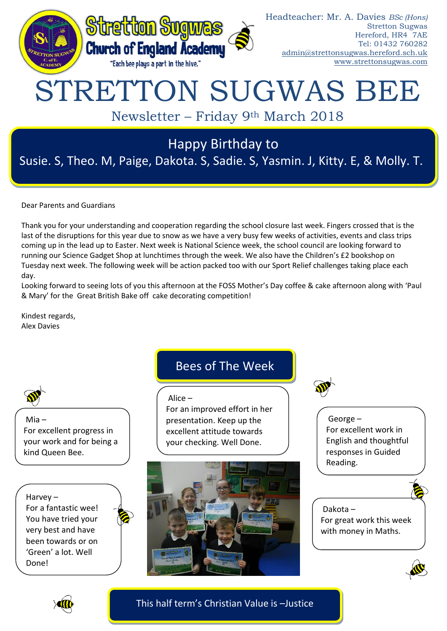

Susie. S, Theo. M, Paige, Dakota. S, Sadie. S, Yasmin. J, Kitty. E, & Molly. T.

Dear Parents and Guardians

Thank you for your understanding and cooperation regarding the school closure last week. Fingers crossed that is the last of the disruptions for this year due to snow as we have a very busy few weeks of activities, events and class trips coming up in the lead up to Easter. Next week is National Science week, the school council are looking forward to running our Science Gadget Shop at lunchtimes through the week. We also have the Children's £2 bookshop on Tuesday next week. The following week will be action packed too with our Sport Relief challenges taking place each day.

Looking forward to seeing lots of you this afternoon at the FOSS Mother's Day coffee & cake afternoon along with 'Paul & Mary' for the Great British Bake off cake decorating competition!

Kindest regards, Alex Davies

Mia – For excellent progress in your work and for being a kind Queen Bee.

Harvey –

For a fantastic wee! You have tried your very best and have been towards or on 'Green' a lot. Well Done!

# Bees of The Week

### Alice –

For an improved effort in her presentation. Keep up the excellent attitude towards your checking. Well Done.



George – For excellent work in English and thoughtful responses in Guided Reading.

## Dakota – For great work this week with money in Maths.





This half term's Christian Value is –Justice